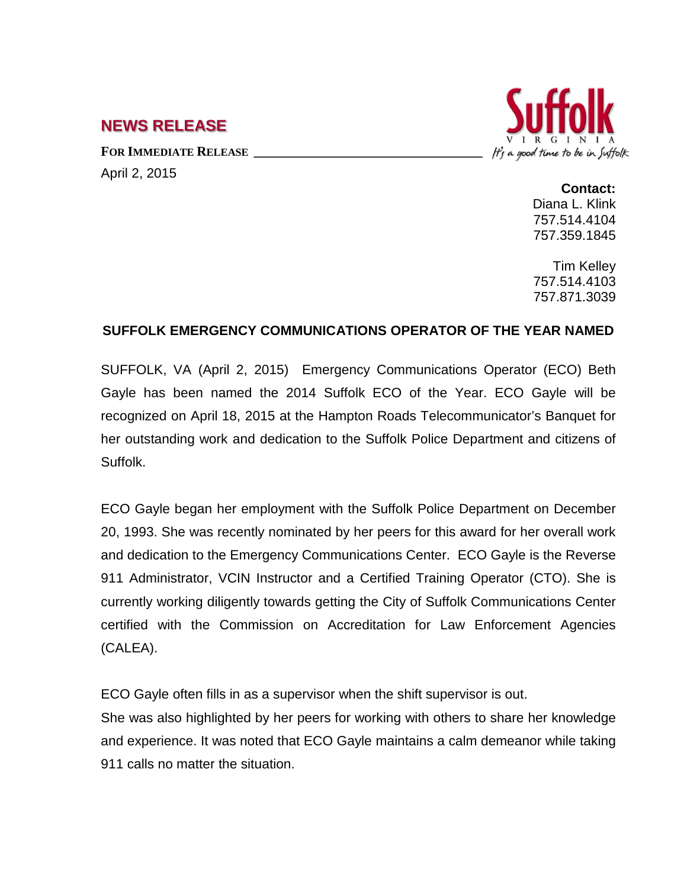## **NEWS RELEASE**

FOR **IMMEDIATE RELEASE** April 2, 2015



**Contact:** Diana L. Klink 757.514.4104 757.359.1845

Tim Kelley 757.514.4103 757.871.3039

## **SUFFOLK EMERGENCY COMMUNICATIONS OPERATOR OF THE YEAR NAMED**

SUFFOLK, VA (April 2, 2015) Emergency Communications Operator (ECO) Beth Gayle has been named the 2014 Suffolk ECO of the Year. ECO Gayle will be recognized on April 18, 2015 at the Hampton Roads Telecommunicator's Banquet for her outstanding work and dedication to the Suffolk Police Department and citizens of Suffolk.

ECO Gayle began her employment with the Suffolk Police Department on December 20, 1993. She was recently nominated by her peers for this award for her overall work and dedication to the Emergency Communications Center. ECO Gayle is the Reverse 911 Administrator, VCIN Instructor and a Certified Training Operator (CTO). She is currently working diligently towards getting the City of Suffolk Communications Center certified with the Commission on Accreditation for Law Enforcement Agencies (CALEA).

ECO Gayle often fills in as a supervisor when the shift supervisor is out.

She was also highlighted by her peers for working with others to share her knowledge and experience. It was noted that ECO Gayle maintains a calm demeanor while taking 911 calls no matter the situation.